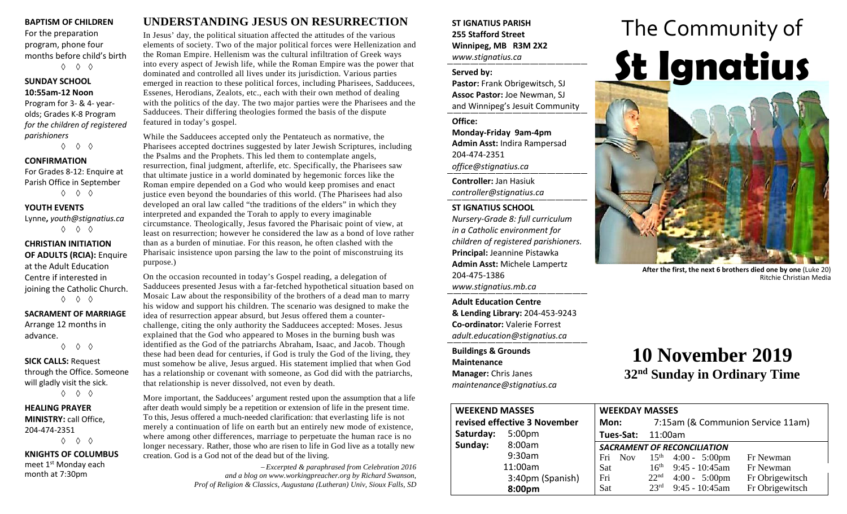#### **BAPTISM OF CHILDREN**

For the preparation program, phone four months before child's birth ◊ ◊ ◊

#### **SUNDAY SCHOOL 10:55am-12 Noon**

Program for 3- & 4- yearolds; Grades K-8 Program *for the children of registered parishioners*

◊ ◊ ◊

#### **CONFIRMATION**

For Grades 8-12: Enquire at Parish Office in September ◊ ◊ ◊

#### **YOUTH EVENTS**

Lynne**,** *youth@stignatius.ca* ◊ ◊ ◊

#### **CHRISTIAN INITIATION OF ADULTS (RCIA):** Enquire at the Adult Education Centre if interested in joining the Catholic Church. ◊ ◊ ◊

## **SACRAMENT OF MARRIAGE**

Arrange 12 months in advance. ◊ ◊ ◊

**SICK CALLS:** Request through the Office. Someone will gladly visit the sick.

◊ ◊ ◊

**HEALING PRAYER MINISTRY:** call Office, 204-474-2351 ◊ ◊ ◊

**KNIGHTS OF COLUMBUS** meet 1<sup>st</sup> Monday each month at 7:30pm

# **UNDERSTANDING JESUS ON RESURRECTION**

In Jesus' day, the political situation affected the attitudes of the various elements of society. Two of the major political forces were Hellenization and the Roman Empire. Hellenism was the cultural infiltration of Greek ways into every aspect of Jewish life, while the Roman Empire was the power that dominated and controlled all lives under its jurisdiction. Various parties emerged in reaction to these political forces, including Pharisees, Sadducees, Essenes, Herodians, Zealots, etc., each with their own method of dealing with the politics of the day. The two major parties were the Pharisees and the Sadducees. Their differing theologies formed the basis of the dispute featured in today's gospel.

While the Sadducees accepted only the Pentateuch as normative, the Pharisees accepted doctrines suggested by later Jewish Scriptures, including the Psalms and the Prophets. This led them to contemplate angels, resurrection, final judgment, afterlife, etc. Specifically, the Pharisees saw that ultimate justice in a world dominated by hegemonic forces like the Roman empire depended on a God who would keep promises and enact justice even beyond the boundaries of this world. (The Pharisees had also developed an oral law called "the traditions of the elders" in which they interpreted and expanded the Torah to apply to every imaginable circumstance. Theologically, Jesus favored the Pharisaic point of view, at least on resurrection; however he considered the law as a bond of love rather than as a burden of minutiae. For this reason, he often clashed with the Pharisaic insistence upon parsing the law to the point of misconstruing its purpose.)

On the occasion recounted in today's Gospel reading, a delegation of Sadducees presented Jesus with a far-fetched hypothetical situation based on Mosaic Law about the responsibility of the brothers of a dead man to marry his widow and support his children. The scenario was designed to make the idea of resurrection appear absurd, but Jesus offered them a counterchallenge, citing the only authority the Sadducees accepted: Moses. Jesus explained that the God who appeared to Moses in the burning bush was identified as the God of the patriarchs Abraham, Isaac, and Jacob. Though these had been dead for centuries, if God is truly the God of the living, they must somehow be alive, Jesus argued. His statement implied that when God has a relationship or covenant with someone, as God did with the patriarchs, that relationship is never dissolved, not even by death.

More important, the Sadducees' argument rested upon the assumption that a life after death would simply be a repetition or extension of life in the present time. To this, Jesus offered a much-needed clarification: that everlasting life is not merely a continuation of life on earth but an entirely new mode of existence, where among other differences, marriage to perpetuate the human race is no longer necessary. Rather, those who are risen to life in God live as a totally new creation. God is a God not of the dead but of the living.

> − *Excerpted & paraphrased from Celebration 2016 and a blog on www.workingpreacher.org by Richard Swanson, Prof of Religion & Classics, Augustana (Lutheran) Univ, Sioux Falls, SD*

### **ST IGNATIUS PARISH 255 Stafford Street Winnipeg, MB R3M 2X2** *www.stignatius.ca*

#### **Served by:**

**Pastor:** Frank Obrigewitsch, SJ **Assoc Pastor:** Joe Newman, SJ and Winnipeg's Jesuit Community

#### **Office:**

**Monday-Friday 9am-4pm Admin Asst:** Indira Rampersad 204-474-2351 *office@stignatius.ca*

**Controller:** Jan Hasiuk *controller@stignatius.ca*

#### **ST IGNATIUS SCHOOL**

*Nursery-Grade 8: full curriculum in a Catholic environment for children of registered parishioners.* **Principal:** Jeannine Pistawka **Admin Asst:** Michele Lampertz 204-475-1386 *www.stignatius.mb.ca*

**Adult Education Centre & Lending Library:** 204-453-9243 **Co-ordinator:** Valerie Forrest *adult.education@stignatius.ca*

**Buildings & Grounds Maintenance Manager:** Chris Janes *maintenance@stignatius.ca*

# The Community of **St Ignatius**

**After the first, the next 6 brothers died one by one** (Luke 20) Ritchie Christian Media

# **10 November 2019 32nd Sunday in Ordinary Time**

| <b>WEEKEND MASSES</b>        |                    | <b>WEEKDAY MASSES</b>              |                                   |                                 |                 |
|------------------------------|--------------------|------------------------------------|-----------------------------------|---------------------------------|-----------------|
| revised effective 3 November |                    | Mon:                               | 7:15am (& Communion Service 11am) |                                 |                 |
| Saturday:                    | 5:00 <sub>pm</sub> | <b>Tues-Sat: 11:00am</b>           |                                   |                                 |                 |
| Sunday:                      | 8:00am             | <b>SACRAMENT OF RECONCILIATION</b> |                                   |                                 |                 |
|                              | 9:30am             |                                    |                                   | Fri Nov $15^{th}$ 4:00 - 5:00pm | Fr Newman       |
|                              | 11:00am            | <b>Sat</b>                         |                                   | $16^{th}$ 9:45 - 10:45am        | Fr Newman       |
|                              | 3:40pm (Spanish)   | Fri                                |                                   | $22nd$ 4:00 - 5:00pm            | Fr Obrigewitsch |
|                              | 8:00pm             | <b>Sat</b>                         | $23^{\text{rd}}$                  | $9:45 - 10:45$ am               | Fr Obrigewitsch |